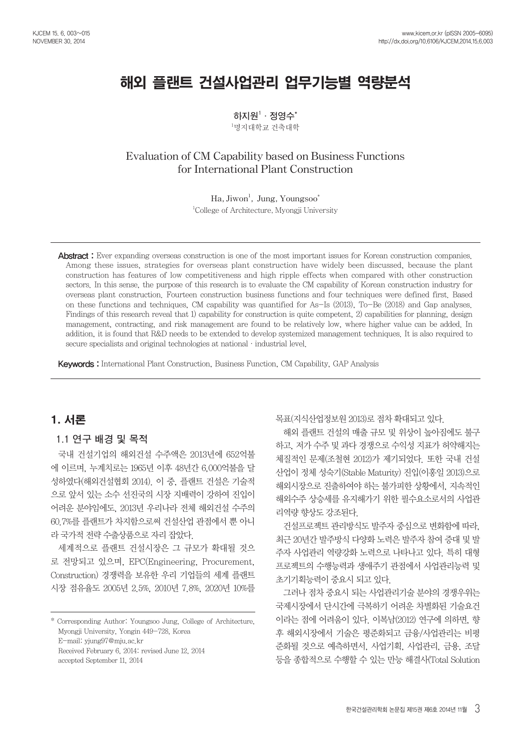# 해외 플랜트 건설사업관리 업무기능별 역량분석

**하지원1 ·정영수\***  $^1$ 명지대학교 건축대학

# **Evaluation of CM Capability based on Business Functions for International Plant Construction**

**Ha, Jiwon1 , Jung, Youngsoo\*** 1 College of Architecture, Myongji University

Abstract: Ever expanding overseas construction is one of the most important issues for Korean construction companies. Among these issues, strategies for overseas plant construction have widely been discussed, because the plant construction has features of low competitiveness and high ripple effects when compared with other construction sectors. In this sense, the purpose of this research is to evaluate the CM capability of Korean construction industry for overseas plant construction. Fourteen construction business functions and four techniques were defined first. Based on these functions and techniques, CM capability was quantified for As-Is (2013), To-Be (2018) and Gap analyses. Findings of this research reveal that 1) capability for construction is quite competent, 2) capabilities for planning, design management, contracting, and risk management are found to be relatively low, where higher value can be added. In addition, it is found that R&D needs to be extended to develop systemized management techniques. It is also required to secure specialists and original technologies at national  $\cdot$  industrial level.

Keywords : International Plant Construction, Business Function, CM Capability, GAP Analysis

# 1. 서론

# **1.1 연구 배경 및 목적**

국내 건설기업의 해외건설 수주액은 2013년에 652억불 에 이르며, 누계치로는 1965년 이후 48년간 6,000억불을 달 성하였다(해외건설협회 2014). 이 중, 플랜트 건설은 기술적 으로 앞서 있는 소수 선진국의 시장 지배력이 강하여 진입이 어려운 분야임에도, 2013년 우리나라 전체 해외건설 수주의 60.7%를 플랜트가 차지함으로써 건설산업 관점에서 뿐 아니 라 국가적 전략 수출상품으로 자리 잡았다.

세계적으로 플랜트 건설시장은 그 규모가 확대될 것으 로 전망되고 있으며, EPC(Engineering, Procurement, Construction) 경쟁력을 보유한 우리 기업들의 세계 플랜트 시장 점유율도 2005년 2.5%, 2010년 7.8%, 2020년 10%를

\* Corresponding Author: Youngsoo Jung, College of Architecture, Myongji University, Yongin 449-728, Korea

E-mail: yjung97@mju.ac.kr

Received February 6, 2014: revised June 12, 2014

accepted September 11, 2014

목표(지식산업정보원 2013)로 점차 확대되고 있다.

해외 플랜트 건설의 매출 규모 및 위상이 높아짐에도 불구 하고, 저가 수주 및 과다 경쟁으로 수익성 지표가 허약해지는 체질적인 문제(조철현 2012)가 제기되었다. 또한 국내 건설 산업이 정체 성숙기(Stable Maturity) 진입(이홍일 2013)으로 해외시장으로 진출하여야 하는 불가피한 상황에서, 지속적인 해외수주 상승세를 유지해가기 위한 필수요소로서의 사업관 리역량 향상도 강조된다.

건설프로젝트 관리방식도 발주자 중심으로 변화함에 따라, 최근 20년간 발주방식 다양화 노력은 발주자 참여 증대 및 발 주자 사업관리 역량강화 노력으로 나타나고 있다. 특히 대형 프로젝트의 수행능력과 생애주기 관점에서 사업관리능력 및 초기기획능력이 중요시 되고 있다.

그러나 점차 중요시 되는 사업관리기술 분야의 경쟁우위는 국제시장에서 단시간에 극복하기 어려운 차별화된 기술요건 이라는 점에 어려움이 있다. 이복남(2012) 연구에 의하면, 향 후 해외시장에서 기술은 평준화되고 금융/사업관리는 비평 준화될 것으로 예측하면서, 사업기획, 사업관리, 금용, 조달 등을 종합적으로 수행할 수 있는 만능 해결사(Total Solution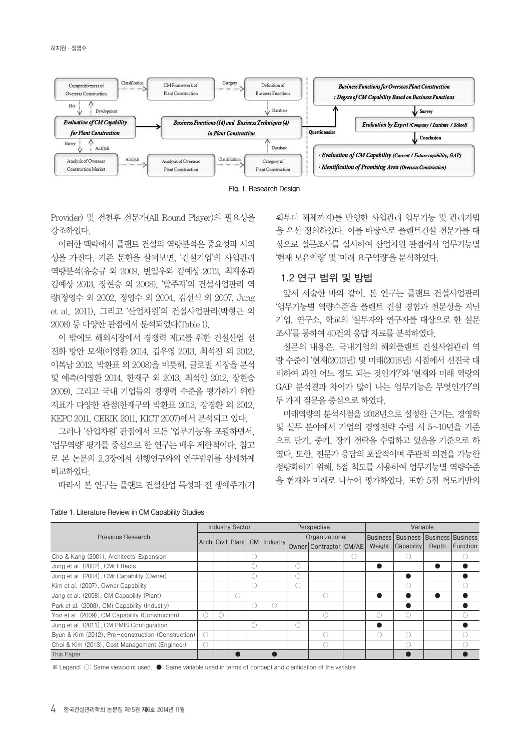

**Fig. 1. Research Design**

Provider) 및 전천후 전문가(All Round Player)의 필요성을 강조하였다.

이러한 맥락에서 플랜트 건설의 역량분석은 중요성과 시의 성을 가진다. 기존 문헌을 살펴보면, '건설기업'의 사업관리 역량분석(유승규 외 2009, 변일우와 김예상 2012, 최재홍과 김예상 2013, 장현승 외 2008), '발주자'의 건설사업관리 역 량(정영수 외 2002, 정영수 외 2004, 김선식 외 2007, Jung et al. 2011), 그리고 '산업차원'의 건설사업관리(박형근 외 2008) 등 다양한 관점에서 분석되었다(Table 1).

이 밖에도 해외시장에서 경쟁력 제고를 위한 건설산업 선 진화 방안 모색(이영환 2014, 김우영 2013, 최석진 외 2012, 이복남 2012, 박환표 외 2008)을 비롯해, 글로벌 시장을 분석 및 예측(이영환 2014, 한재구 외 2013, 최석인 2012, 장현승 2009), 그리고 국내 기업들의 경쟁력 수준을 평가하기 위한 지표가 다양한 관점(한재구와 박환표 2012, 강경환 외 2012, KEPC 2011, CERIK 2011, KICT 2007)에서 분석되고 있다.

그러나 '산업차원' 관점에서 모든 '업무기능'을 포괄하면서, '업무역량' 평가를 중심으로 한 연구는 매우 제한적이다. 참고 로 본 논문의 2.3장에서 선행연구와의 연구범위를 상세하게 비교하였다.

따라서 본 연구는 플랜트 건설산업 특성과 전 생애주기(기

획부터 해체까지)를 반영한 사업관리 업무기능 및 관리기법 을 우선 정의하였다. 이를 바탕으로 플랜트건설 전문가를 대 상으로 설문조사를 실시하여 산업차원 관점에서 업무기능별 '현재 보유역량' 및 '미래 요구역량'을 분석하였다.

# **1.2 연구 범위 및 방법**

앞서 서술한 바와 같이, 본 연구는 플랜트 건설사업관리 '업무기능별 역량수준'을 플랜트 건설 경험과 전문성을 지닌 기업, 연구소, 학교의 '실무자와 연구자를 대상으로 한 설문 조사'를 통하여 40건의 응답 자료를 분석하였다.

설문의 내용은, 국내기업의 해외플랜트 건설사업관리 역 량 수준이 '현재(2013년) 및 미래(2018년) 시점에서 선진국 대 비하여 과연 어느 정도 되는 것인가?'와 '현재와 미래 역량의 GAP 분석결과 차이가 많이 나는 업무기능은 무엇인가?'의 두 가지 질문을 중심으로 하였다.

미래역량의 분석시점을 2018년으로 설정한 근거는, 경영학 및 실무 분야에서 기업의 경영전략 수립 시 5~10년을 기준 으로 단기, 중기, 장기 전략을 수립하고 있음을 기준으로 하 였다. 또한, 전문가 응답의 포괄적이며 주관적 의견을 가능한 정량화하기 위해, 5점 척도를 사용하여 업무기능별 역량수준 을 현재와 미래로 나누어 평가하였다. 또한 5점 척도기반의

|                                                    |     | <b>Industry Sector</b> |          |                        | Perspective                                         |                 | Variable                          |       |          |
|----------------------------------------------------|-----|------------------------|----------|------------------------|-----------------------------------------------------|-----------------|-----------------------------------|-------|----------|
| Previous Research                                  |     |                        |          |                        | Organizational                                      | <b>Business</b> | <b>Business Business Business</b> |       |          |
|                                                    |     |                        |          |                        | Arch Civil Plant CM Industry Owner Contractor CM/AE | Weight          | Capability                        | Depth | Function |
| Cho & Kang (2001), Architects' Expansion           |     |                        | C        |                        |                                                     |                 |                                   |       |          |
| Jung et al. (2002), CMr Effects                    |     |                        | C        | Ω                      |                                                     |                 |                                   |       |          |
| Jung et al. (2004), CMr Capability (Owner)         |     |                        | 0        | $\left( \quad \right)$ |                                                     |                 |                                   |       |          |
| Kim et al. (2007), Owner Capability                |     |                        | €.       |                        |                                                     |                 |                                   |       |          |
| Jang et al. (2008), CM Capability (Plant)          |     |                        |          |                        | C                                                   |                 |                                   |       |          |
| Park et al. (2008), CMr Capability (Industry)      |     |                        | $\left($ |                        |                                                     |                 |                                   |       |          |
| Yoo et al. (2009), CM Capability (Construction)    | С.  |                        |          |                        | C                                                   | . .             |                                   |       |          |
| Jung et al. (2011), CM PMIS Configuration          |     |                        | ∩        | $($ )                  |                                                     |                 |                                   |       |          |
| Byun & Kim (2012), Pre-construction (Construction) | Ω   |                        |          |                        | C                                                   | ()              |                                   |       |          |
| Choi & Kim (2013), Cost Management (Engineer)      | ( ) |                        |          |                        | C                                                   |                 |                                   |       |          |
| This Paper                                         |     |                        |          |                        |                                                     |                 |                                   |       |          |

**Table 1. Literature Review in CM Capability Studies**

※ Legend: ○: Same viewpoint used, ●: Same variable used in terms of concept and clarification of the variable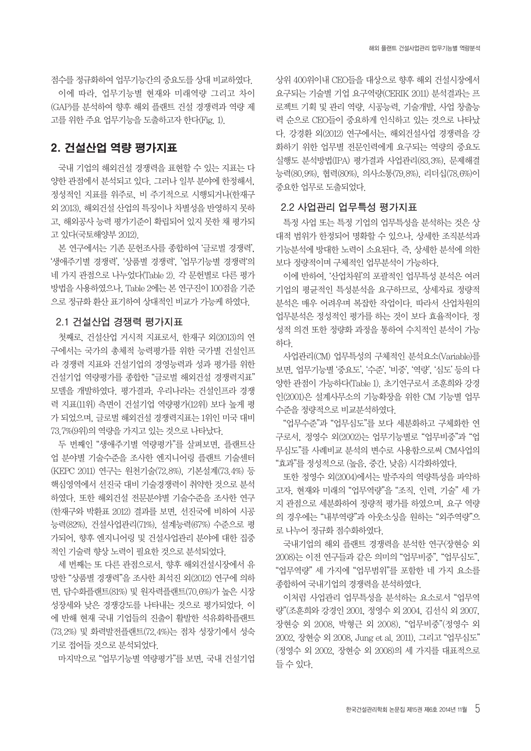점수를 정규화하여 업무기능간의 중요도를 상대 비교하였다. 이에 따라, 업무기능별 현재와 미래역량 그리고 차이 (GAP)를 분석하여 향후 해외 플랜트 건설 경쟁력과 역량 제 고를 위한 주요 업무기능을 도출하고자 한다(Fig. 1).

# 2. 건설산업 역량 평가지표

국내 기업의 해외건설 경쟁력을 표현할 수 있는 지표는 다 양한 관점에서 분석되고 있다. 그러나 일부 분야에 한정해서, 정성적인 지표를 위주로, 비 주기적으로 시행되거나(한재구 외 2013), 해외건설 산업의 특징이나 차별성을 반영하지 못하 고, 해외공사 능력 평가기준이 확립되어 있지 못한 채 평가되 고 있다(국토해양부 2012).

본 연구에서는 기존 문헌조사를 종합하여 '글로벌 경쟁력', '생애주기별 경쟁력', '상품별 경쟁력', '업무기능별 경쟁력'의 네 가지 관점으로 나누었다(Table 2). 각 문헌별로 다른 평가 방법을 사용하였으나, Table 2에는 본 연구진이 100점을 기준 으로 정규화 환산 표기하여 상대적인 비교가 가능케 하였다.

# **2.1 건설산업 경쟁력 평가지표**

첫째로, 건설산업 거시적 지표로서, 한재구 외(2013)의 연 구에서는 국가의 총체적 능력평가를 위한 국가별 건설인프 라 경쟁력 지표와 건설기업의 경영능력과 성과 평가를 위한 건설기업 역량평가를 종합한 "글로벌 해외건설 경쟁력지표" 모델을 개발하였다. 평가결과, 우리나라는 건설인프라 경쟁 력 지표(11위) 측면이 건설기업 역량평가(12위) 보다 높게 평 가 되었으며, 글로벌 해외건설 경쟁력지표는 1위인 미국 대비 73.7%(9위)의 역량을 가지고 있는 것으로 나타났다.

두 번째인 "생애주기별 역량평가"를 살펴보면, 플랜트산 업 분야별 기술수준을 조사한 엔지니어링 플랜트 기술센터 (KEPC 2011) 연구는 원천기술(72.8%), 기본설계(73.4%) 등 핵심영역에서 선진국 대비 기술경쟁력이 취약한 것으로 분석 하였다. 또한 해외건설 전문분야별 기술수준을 조사한 연구 (한재구와 박환표 2012) 결과를 보면, 선진국에 비하여 시공 능력(82%), 건설사업관리(71%), 설계능력(67%) 수준으로 평 가되어, 향후 엔지니어링 및 건설사업관리 분야에 대한 집중 적인 기술력 향상 노력이 필요한 것으로 분석되었다.

세 번째는 또 다른 관점으로서, 향후 해외건설시장에서 유 망한 "상품별 경쟁력"을 조사한 최석진 외(2012) 연구에 의하 면, 담수화플랜트(81%) 및 원자력플랜트(70.6%)가 높은 시장 성장세와 낮은 경쟁강도를 나타내는 것으로 평가되었다. 이 에 반해 현재 국내 기업들의 진출이 활발한 석유화학플랜트 (73.2%) 및 화력발전플랜트(72.4%)는 점차 성장기에서 성숙 기로 접어들 것으로 분석되었다.

마지막으로 "업무기능별 역량평가"를 보면, 국내 건설기업

상위 400위이내 CEO들을 대상으로 향후 해외 건설시장에서 요구되는 기술별 기업 요구역량(CERIK 2011) 분석결과는 프 로젝트 기획 및 관리 역량, 시공능력, 기술개발, 사업 창출능 력 순으로 CEO들이 중요하게 인식하고 있는 것으로 나타났 다. 강경환 외(2012) 연구에서는, 해외건설사업 경쟁력을 강 화하기 위한 업무별 전문인력에게 요구되는 역량의 중요도 실행도 분석방법(IPA) 평가결과 사업관리(83.3%), 문제해결 능력(80.9%), 협력(80%), 의사소통(79.8%), 리더십(78.6%)이 중요한 업무로 도출되었다.

## **2.2 사업관리 업무특성 평가지표**

특정 사업 또는 특정 기업의 업무특성을 분석하는 것은 상 대적 범위가 한정되어 명확할 수 있으나, 상세한 조직분석과 기능분석에 방대한 노력이 소요된다. 즉, 상세한 분석에 의한 보다 정량적이며 구체적인 업무분석이 가능하다.

이에 반하여, '산업차원'의 포괄적인 업무특성 분석은 여러 기업의 평균적인 특성분석을 요구하므로, 상세자료 정량적 분석은 매우 어려우며 복잡한 작업이다. 따라서 산업차원의 업무분석은 정성적인 평가를 하는 것이 보다 효율적이다. 정 성적 의견 또한 정량화 과정을 통하여 수치적인 분석이 가능 하다.

사업관리(CM) 업무특성의 구체적인 분석요소(Variable)를 보면, 업무기능별 '중요도', '수준', '비중', '역량', '심도' 등의 다 양한 관점이 가능하다(Table 1). 초기연구로서 조훈희와 강경 인(2001)은 설계사무소의 기능확장을 위한 CM 기능별 업무 수준을 정량적으로 비교분석하였다.

"업무수준"과 "업무심도"를 보다 세분화하고 구체화한 연 구로서, 정영수 외(2002)는 업무기능별로 "업무비중"과 "업 무심도"를 사례비교 분석의 변수로 사용함으로써 CM사업의 "효과"를 정성적으로 (높음, 중간, 낮음) 시각화하였다.

또한 정영수 외(2004)에서는 발주자의 역량특성을 파악하 고자, 현재와 미래의 "업무역량"을 "조직, 인력, 기술" 세 가 지 관점으로 세분화하여 정량적 평가를 하였으며, 요구 역량 의 경우에는 "내부역량"과 아웃소싱을 원하는 "외주역량"으 로 나누어 정규화 점수화하였다.

국내기업의 해외 플랜트 경쟁력을 분석한 연구(장현승 외 2008)는 이전 연구들과 같은 의미의 "업무비중", "업무심도", "업무역량" 세 가지에 "업무범위"를 포함한 네 가지 요소를 종합하여 국내기업의 경쟁력을 분석하였다.

이처럼 사업관리 업무특성을 분석하는 요소로서 "업무역 량"(조훈희와 강경인 2001, 정영수 외 2004, 김선식 외 2007, 장현승 외 2008, 박형근 외 2008), "업무비중"(정영수 외 2002, 장현승 외 2008, Jung et al. 2011), 그리고 "업무심도" (정영수 외 2002, 장현승 외 2008)의 세 가지를 대표적으로 들 수 있다.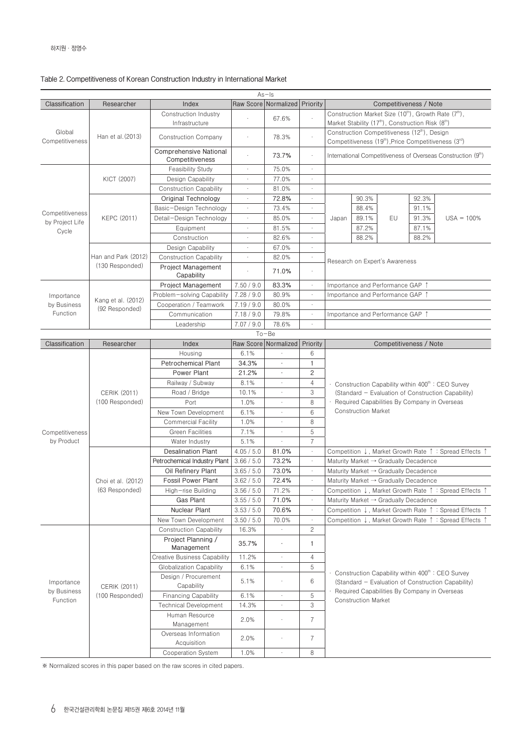|                                    |                     |                                           |            | $As - Is$                         |                |       |                            |                                                                                                                                                             |       |                                                                                      |
|------------------------------------|---------------------|-------------------------------------------|------------|-----------------------------------|----------------|-------|----------------------------|-------------------------------------------------------------------------------------------------------------------------------------------------------------|-------|--------------------------------------------------------------------------------------|
| Classification                     | Researcher          | Index                                     |            | Raw Score   Normalized   Priority |                |       |                            | Competitiveness / Note                                                                                                                                      |       |                                                                                      |
|                                    |                     | Construction Industry<br>Infrastructure   |            | 67.6%                             |                |       |                            | Construction Market Size (10 <sup>th</sup> ), Growth Rate (7 <sup>th</sup> ),<br>Market Stability (17 <sup>th</sup> ), Construction Risk (8 <sup>th</sup> ) |       |                                                                                      |
| Global                             |                     |                                           |            |                                   |                |       |                            | Construction Competitiveness (12th), Design                                                                                                                 |       |                                                                                      |
| Competitiveness                    | Han et al. (2013)   | <b>Construction Company</b>               | ٠          | 78.3%                             | $\cdot$        |       |                            | Competitiveness (19 <sup>th</sup> ), Price Competitiveness (3 <sup>rd</sup> )                                                                               |       |                                                                                      |
|                                    |                     | Comprehensive National<br>Competitiveness |            | 73.7%                             | $\cdot$        |       |                            |                                                                                                                                                             |       | International Competitiveness of Overseas Construction (9 <sup>th</sup> )            |
|                                    |                     | <b>Feasibility Study</b>                  | $\cdot$    | 75.0%                             | $\sim$         |       |                            |                                                                                                                                                             |       |                                                                                      |
|                                    | KICT (2007)         | Design Capability                         |            | 77.0%                             |                |       |                            |                                                                                                                                                             |       |                                                                                      |
|                                    |                     | <b>Construction Capability</b>            |            | 81.0%                             |                |       |                            |                                                                                                                                                             |       |                                                                                      |
|                                    |                     | Original Technology                       | $\cdot$    | 72.8%                             | $\epsilon$     |       | 90.3%                      |                                                                                                                                                             | 92.3% |                                                                                      |
|                                    |                     | Basic-Design Technology                   | $\cdot$    | 73.4%                             | $\cdot$        |       | 88.4%                      |                                                                                                                                                             | 91.1% |                                                                                      |
| Competitiveness<br>by Project Life | KEPC (2011)         | Detail-Design Technology                  | $\cdot$    | 85.0%                             | $\cdot$        | Japan | 89.1%                      | EU                                                                                                                                                          | 91.3% | $USA = 100%$                                                                         |
| Cycle                              |                     | Equipment                                 | ٠          | 81.5%                             | $\sim$         |       | 87.2%                      |                                                                                                                                                             | 87.1% |                                                                                      |
|                                    |                     | Construction                              |            | 82.6%                             | $\epsilon$     |       | 88.2%                      |                                                                                                                                                             | 88.2% |                                                                                      |
|                                    |                     | Design Capability                         |            | 67.0%                             | $\blacksquare$ |       |                            |                                                                                                                                                             |       |                                                                                      |
|                                    | Han and Park (2012) | <b>Construction Capability</b>            | $\cdot$    | 82.0%                             | $\cdot$        |       |                            |                                                                                                                                                             |       |                                                                                      |
|                                    | (130 Responded)     | <b>Project Management</b>                 |            | 71.0%                             | $\cdot$        |       |                            | Research on Expert's Awareness                                                                                                                              |       |                                                                                      |
|                                    |                     | Capability<br><b>Project Management</b>   | 7.50 / 9.0 |                                   | $\epsilon$     |       |                            |                                                                                                                                                             |       |                                                                                      |
|                                    |                     |                                           |            | 83.3%                             |                |       |                            | Importance and Performance GAP ↑                                                                                                                            |       |                                                                                      |
| Importance                         | Kang et al. (2012)  | Problem-solving Capability                | 7.28 / 9.0 | 80.9%                             | $\epsilon$     |       |                            | Importance and Performance GAP ↑                                                                                                                            |       |                                                                                      |
| by Business<br>Function            | (92 Responded)      | Cooperation / Teamwork                    | 7.19 / 9.0 | 80.0%                             | $\epsilon$     |       |                            |                                                                                                                                                             |       |                                                                                      |
|                                    |                     | Communication                             | 7.18 / 9.0 | 79.8%                             | $\cdot$        |       |                            | Importance and Performance GAP 1                                                                                                                            |       |                                                                                      |
|                                    |                     | Leadership                                | 7.07 / 9.0 | 78.6%                             | $\cdot$        |       |                            |                                                                                                                                                             |       |                                                                                      |
|                                    |                     |                                           |            | $To - Be$                         |                |       |                            |                                                                                                                                                             |       |                                                                                      |
| Classification                     | Researcher          | Index                                     |            | Raw Score Normalized              | Priority       |       |                            | Competitiveness / Note                                                                                                                                      |       |                                                                                      |
|                                    |                     | Housing                                   | 6.1%       |                                   | 6              |       |                            |                                                                                                                                                             |       |                                                                                      |
|                                    |                     | <b>Petrochemical Plant</b>                | 34.3%      |                                   | 1              |       |                            |                                                                                                                                                             |       |                                                                                      |
|                                    |                     | Power Plant                               | 21.2%      |                                   | 2              |       |                            |                                                                                                                                                             |       |                                                                                      |
|                                    |                     | Railway / Subway                          | 8.1%       |                                   | $\overline{4}$ |       |                            |                                                                                                                                                             |       | Construction Capability within 400 <sup>th</sup> : CEO Survey                        |
|                                    | <b>CERIK (2011)</b> | Road / Bridge                             | 10.1%      |                                   | 3              |       |                            |                                                                                                                                                             |       | (Standard - Evaluation of Construction Capability)                                   |
|                                    | (100 Responded)     | Port                                      | 1.0%       | $\cdot$                           | 8              |       | <b>Construction Market</b> | · Required Capabilities By Company in Overseas                                                                                                              |       |                                                                                      |
|                                    |                     | New Town Development                      | 6.1%       | $\epsilon$                        | 6              |       |                            |                                                                                                                                                             |       |                                                                                      |
|                                    |                     | <b>Commercial Facility</b>                | 1.0%       | ٠                                 | 8              |       |                            |                                                                                                                                                             |       |                                                                                      |
| Competitiveness                    |                     | Green Facilities                          | 7.1%       | $\cdot$                           | 5              |       |                            |                                                                                                                                                             |       |                                                                                      |
| by Product                         |                     | Water Industry                            | 5.1%       | $\cdot$                           | $\overline{7}$ |       |                            |                                                                                                                                                             |       |                                                                                      |
|                                    |                     | <b>Desalination Plant</b>                 | 4.05 / 5.0 | 81.0%                             | $\cdot$        |       |                            |                                                                                                                                                             |       | Competition ↓, Market Growth Rate ↑ : Spread Effects ↑                               |
|                                    |                     | Petrochemical Industry Plant              | 3.66 / 5.0 | 73.2%                             | $\epsilon$     |       |                            | Maturity Market $\rightarrow$ Gradually Decadence                                                                                                           |       |                                                                                      |
|                                    |                     | Oil Refinery Plant                        | 3.65 / 5.0 | 73.0%                             | $\epsilon$     |       |                            | Maturity Market $\rightarrow$ Gradually Decadence                                                                                                           |       |                                                                                      |
|                                    | Choi et al. (2012)  | <b>Fossil Power Plant</b>                 | 3.62 / 5.0 | 72.4%                             | $\cdot$        |       |                            | Maturity Market $\rightarrow$ Gradually Decadence                                                                                                           |       |                                                                                      |
|                                    | (63 Responded)      | High-rise Building                        | 3.56 / 5.0 | 71.2%                             |                |       |                            |                                                                                                                                                             |       | Competition ↓, Market Growth Rate ↑ : Spread Effects                                 |
|                                    |                     | Gas Plant                                 | 3.55 / 5.0 | 71.0%                             |                |       |                            | Maturity Market $\rightarrow$ Gradually Decadence                                                                                                           |       |                                                                                      |
|                                    |                     | Nuclear Plant                             | 3.53 / 5.0 | 70.6%                             |                |       |                            |                                                                                                                                                             |       | Competition $\downarrow$ , Market Growth Rate $\uparrow$ : Spread Effects $\uparrow$ |
|                                    |                     | New Town Development                      | 3.50 / 5.0 | 70.0%                             | $\epsilon$     |       |                            |                                                                                                                                                             |       | Competition ↓, Market Growth Rate ↑ : Spread Effects ↑                               |
|                                    |                     | <b>Construction Capability</b>            | 16.3%      | $\epsilon$                        | $\mathbf{2}$   |       |                            |                                                                                                                                                             |       |                                                                                      |
|                                    |                     | Project Planning /<br>Management          | 35.7%      |                                   | 1              |       |                            |                                                                                                                                                             |       |                                                                                      |
|                                    |                     | <b>Creative Business Capability</b>       | 11.2%      | $\epsilon$                        | 4              |       |                            |                                                                                                                                                             |       |                                                                                      |
|                                    |                     | Globalization Capability                  | 6.1%       | $\epsilon$                        | 5              |       |                            |                                                                                                                                                             |       |                                                                                      |
|                                    |                     | Design / Procurement                      |            |                                   |                |       |                            |                                                                                                                                                             |       | Construction Capability within 400 <sup>th</sup> : CEO Survey                        |
| Importance                         | <b>CERIK (2011)</b> | Capability                                | 5.1%       |                                   | 6              |       |                            |                                                                                                                                                             |       | (Standard - Evaluation of Construction Capability)                                   |
| by Business                        | (100 Responded)     | <b>Financing Capability</b>               | 6.1%       |                                   | 5              |       |                            | Required Capabilities By Company in Overseas                                                                                                                |       |                                                                                      |
| Function                           |                     | <b>Technical Development</b>              | 14.3%      | $\epsilon$                        | 3              |       | <b>Construction Market</b> |                                                                                                                                                             |       |                                                                                      |
|                                    |                     | Human Resource                            |            |                                   |                |       |                            |                                                                                                                                                             |       |                                                                                      |
|                                    |                     | Management                                | 2.0%       |                                   | $\overline{7}$ |       |                            |                                                                                                                                                             |       |                                                                                      |
|                                    |                     | Overseas Information                      |            |                                   | $\overline{7}$ |       |                            |                                                                                                                                                             |       |                                                                                      |
|                                    |                     | Acquisition                               | 2.0%       |                                   |                |       |                            |                                                                                                                                                             |       |                                                                                      |
|                                    |                     | Cooperation System                        | 1.0%       | $\epsilon$                        | 8              |       |                            |                                                                                                                                                             |       |                                                                                      |

※ Normalized scores in this paper based on the raw scores in cited papers.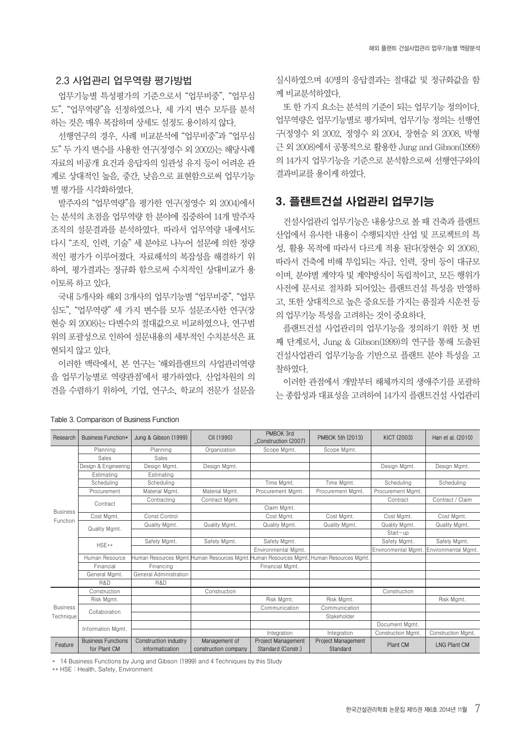# **2.3 사업관리 업무역량 평가방법**

업무기능별 특성평가의 기준으로서 "업무비중", "업무심 도", "업무역량"을 선정하였으나, 세 가지 변수 모두를 분석 하는 것은 매우 복잡하며 상세도 설정도 용이하지 않다.

선행연구의 경우, 사례 비교분석에 "업무비중"과 "업무심 도" 두 가지 변수를 사용한 연구(정영수 외 2002)는 해당사례 자료의 비공개 요건과 응답자의 일관성 유지 등이 어려운 관 계로 상대적인 높음, 중간, 낮음으로 표현함으로써 업무기능 별 평가를 시각화하였다.

발주자의 "업무역량"을 평가한 연구(정영수 외 2004)에서 는 분석의 초점을 업무역량 한 분야에 집중하여 14개 발주자 조직의 설문결과를 분석하였다. 따라서 업무역량 내에서도 다시 "조직, 인력, 기술" 세 분야로 나누어 설문에 의한 정량 적인 평가가 이루어졌다. 자료해석의 복잡성을 해결하기 위 하여, 평가결과는 정규화 함으로써 수치적인 상대비교가 용 이토록 하고 있다.

국내 5개사와 해외 3개사의 업무기능별 "업무비중", "업무 심도", "업무역량" 세 가지 변수를 모두 설문조사한 연구(장 현승 외 2008)는 다변수의 절대값으로 비교하였으나, 연구범 위의 포괄성으로 인하여 설문내용의 세부적인 수치분석은 표 현되지 않고 있다.

이러한 맥락에서, 본 연구는 '해외플랜트의 사업관리역량 을 업무기능별로 역량관점'에서 평가하였다. 산업차원의 의 견을 수렴하기 위하여, 기업, 연구소, 학교의 전문가 설문을

실시하였으며 40명의 응답결과는 절대값 및 정규화값을 함 께 비교분석하였다.

또 한 가지 요소는 분석의 기준이 되는 업무기능 정의이다. 업무역량은 업무기능별로 평가되며, 업무기능 정의는 선행연 구(정영수 외 2002, 정영수 외 2004, 장현승 외 2008, 박형 근 외 2008)에서 공통적으로 활용한 Jung and Gibson(1999) 의 14가지 업무기능을 기준으로 분석함으로써 선행연구와의 결과비교를 용이케 하였다.

# 3. 플랜트건설 사업관리 업무기능

건설사업관리 업무기능은 내용상으로 볼 때 건축과 플랜트 산업에서 유사한 내용이 수행되지만 산업 및 프로젝트의 특 성, 활용 목적에 따라서 다르게 적용 된다(장현승 외 2008). 따라서 건축에 비해 투입되는 자금, 인력, 장비 등이 대규모 이며, 분야별 계약자 및 계약방식이 독립적이고, 모든 행위가 사전에 문서로 절차화 되어있는 플랜트건설 특성을 반영하 고, 또한 상대적으로 높은 중요도를 가지는 품질과 시운전 등 의 업무기능 특성을 고려하는 것이 중요하다.

플랜트건설 사업관리의 업무기능을 정의하기 위한 첫 번 째 단계로서, Jung & Gibson(1999)의 연구를 통해 도출된 건설사업관리 업무기능을 기반으로 플랜트 분야 특성을 고 찰하였다.

이러한 관점에서 개발부터 해체까지의 생애주기를 포괄하 는 종합성과 대표성을 고려하여 14가지 플랜트건설 사업관리

| Research        | Business Function*                        | Jung & Gibson (1999)                     | CII (1990)                            | PMBOK 3rd<br>Construction (2007)                | PMBOK 5th (2013)                                                                        | <b>KICT (2003)</b>  | Han et al. (2010)   |
|-----------------|-------------------------------------------|------------------------------------------|---------------------------------------|-------------------------------------------------|-----------------------------------------------------------------------------------------|---------------------|---------------------|
|                 | Planning                                  | Planning                                 | Organization                          | Scope Mgmt.                                     | Scope Mgmt.                                                                             |                     |                     |
|                 | Sales                                     | Sales                                    |                                       |                                                 |                                                                                         |                     |                     |
|                 | Design & Engineering                      | Design Mgmt.                             | Design Mgmt.                          |                                                 |                                                                                         | Design Mgmt.        | Design Mgmt.        |
|                 | Estimating                                | Estimating                               |                                       |                                                 |                                                                                         |                     |                     |
|                 | Scheduling                                | Scheduling                               |                                       | Time Mgmt.                                      | Time Mgmt.                                                                              | Scheduling          | Schedulina          |
|                 | Procurement                               | Material Mgmt.                           | Material Mamt.                        | Procurement Mamt.                               | Procurement Mamt.                                                                       | Procurement Mamt.   |                     |
|                 | Contract                                  | Contracting                              | Contract Mgmt.                        |                                                 |                                                                                         | Contract            | Contract / Claim    |
| <b>Business</b> |                                           |                                          |                                       | Claim Mgmt.                                     |                                                                                         |                     |                     |
| Function        | Cost Mgmt.                                | Const Control                            |                                       | Cost Mgmt.                                      | Cost Mgmt.                                                                              | Cost Mgmt.          | Cost Mgmt.          |
|                 | Quality Mgmt.                             | Quality Mgmt.                            | Quality Mgmt.                         | Quality Mgmt.                                   | Quality Mgmt.                                                                           | Quality Mgmt.       | Quality Mgmt.       |
|                 |                                           |                                          |                                       |                                                 |                                                                                         | Start-up            |                     |
|                 | $HSE**$                                   | Safety Mgmt.                             | Safety Mgmt.                          | Safety Mgmt.                                    |                                                                                         | Safety Mgmt.        | Safety Mgmt.        |
|                 |                                           |                                          |                                       | Environmental Mamt.                             |                                                                                         | Environmental Mamt. | Environmental Mamt. |
|                 | Human Resource                            |                                          |                                       |                                                 | Human Resources Mgmt. Human Resources Mgmt. Human Resources Mgmt. Human Resources Mgmt. |                     |                     |
|                 | Financial                                 | Financing                                |                                       | Financial Mgmt.                                 |                                                                                         |                     |                     |
|                 | General Mgmt.                             | General Administration                   |                                       |                                                 |                                                                                         |                     |                     |
|                 | R&D                                       | R&D                                      |                                       |                                                 |                                                                                         |                     |                     |
|                 | Construction                              |                                          | Construction                          |                                                 |                                                                                         | Construction        |                     |
|                 | Risk Mgmt.                                |                                          |                                       | Risk Mgmt.                                      | Risk Mgmt.                                                                              |                     | Risk Mgmt.          |
| <b>Business</b> | Collaboration                             |                                          |                                       | Communication                                   | Communication                                                                           |                     |                     |
| Technique       |                                           |                                          |                                       |                                                 | Stakeholder                                                                             |                     |                     |
|                 | Information Mgmt.                         |                                          |                                       |                                                 |                                                                                         | Document Mgmt.      |                     |
|                 |                                           |                                          |                                       | Integration                                     | Integration                                                                             | Construction Mgmt.  | Construction Mgmt.  |
| Feature         | <b>Business Functions</b><br>for Plant CM | Construction industry<br>informatization | Management of<br>construction company | <b>Project Management</b><br>Standard (Constr.) | <b>Project Management</b><br>Standard                                                   | <b>Plant CM</b>     | <b>LNG Plant CM</b> |

**Table 3. Comparison of Business Function**

\* 14 Business Functions by Jung and Gibson (1999) and 4 Techniques by this Study

\*\* HSE : Health, Safety, Environment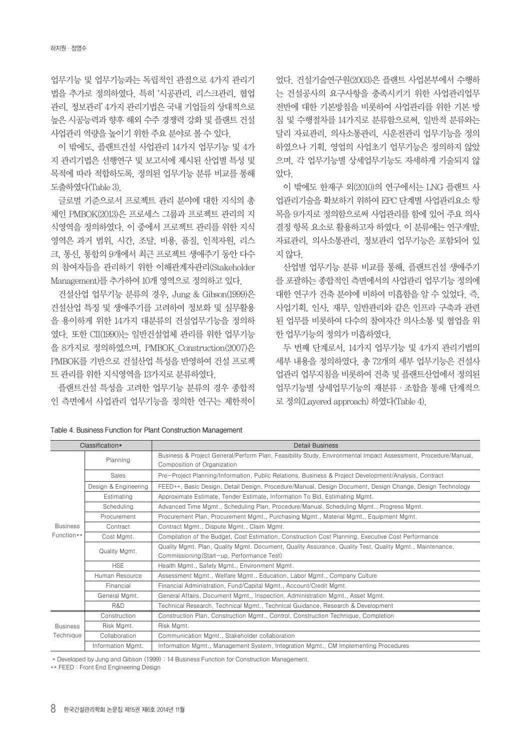업무기능 및 업무기능과는 독립적인 관점으로 4가지 관리기 법을 추가로 정의하였다. 특히 '시공관리, 리스크관리, 협업 관리, 정보관리' 4가지 관리기법은 국내 기업들의 상대적으로 높은 시공능력과 향후 해외 수주 경쟁력 강화 및 플랜트 건설 사업관리 역량을 높이기 위한 주요 분야로 볼 수 있다.

이 밖에도, 플랜트건설 사업관리 14가지 업무기능 및 4가 지 관리기법은 선행연구 및 보고서에 제시된 산업별 특성 및 목적에 따라 적합하도록, 정의된 업무기능 분류 비교를 통해 도출하였다(Table 3).

글로벌 기준으로서 프로젝트 관리 분야에 대한 지식의 총 체인 PMBOK(2013)은 프로세스 그룹과 프로젝트 관리의 지 식영역을 정의하였다. 이 중에서 프로젝트 관리를 위한 지식 영역은 과거 범위, 시간, 조달, 비용, 품질, 인적자원, 리스 크, 통신, 통합의 9개에서 최근 프로젝트 생애주기 동안 다수 의 참여자들을 관리하기 위한 이해관계자관리(Stakeholder Management)를 추가하여 10개 영역으로 정의하고 있다.

건설산업 업무기능 분류의 경우, Jung & Gibson(1999)은 건설산업 특징 및 생애주기를 고려하여 정보화 및 실무활용 을 용이하게 위한 14가지 대분류의 건설업무기능을 정의하 였다. 또한 CII(1990)는 일반건설업체 관리를 위한 업무기능 을 8가지로 정의하였으며, PMBOK\_Construction(2007)은 PMBOK를 기반으로 건설산업 특성을 반영하여 건설 프로젝 트 관리를 위한 지식영역을 13가지로 분류하였다.

플랜트건설 특성을 고려한 업무기능 분류의 경우 종합적 인 측면에서 사업관리 업무기능을 정의한 연구는 제한적이

었다. 건설기술연구원(2003)은 플랜트 사업본부에서 수행하 는 건설공사의 요구사항을 충족시키기 위한 사업관리업무 전반에 대한 기본방침을 비롯하여 사업관리를 위한 기본 방 침 및 수행절차를 14가지로 분류함으로써, 일반적 분류와는 달리 자료관리, 의사소통관리, 시운전관리 업무기능을 정의 하였으나 기획, 영업의 사업초기 업무기능은 정의하지 않았 으며, 각 업무기능별 상세업무기능도 자세하게 기술되지 않 았다.

이 밖에도 한재구 외(2010)의 연구에서는 LNG 플랜트 사 업관리기술을 확보하기 위하여 EPC 단계별 사업관리요소 항 목을 9가지로 정의함으로써 사업관리를 함에 있어 주요 의사 결정 항목 요소로 활용하고자 하였다. 이 분류에는 연구개발, 자료관리, 의사소통관리, 정보관리 업무기능은 포함되어 있 지 않다.

산업별 업무기능 분류 비교를 통해, 플랜트건설 생애주기 를 포괄하는 종합적인 측면에서의 사업관리 업무기능 정의에 대한 연구가 건축 분야에 비하여 미흡함을 알 수 있었다. 즉, 사업기획, 인사, 재무, 일반관리와 같은 인프라 구축과 관련 된 업무를 비롯하여 다수의 참여자간 의사소통 및 협업을 위 한 업무기능의 정의가 미흡하였다.

두 번째 단계로서, 14가지 업무기능 및 4가지 관리기법의 세부 내용을 정의하였다. 총 72개의 세부 업무기능은 건설사 업관리 업무지침을 비롯하여 건축 및 플랜트산업에서 정의된 업무기능별 상세업무기능의 재분류·조합을 통해 단계적으 로 정의(Layered approach) 하였다(Table 4).

|                 | Classification*      | <b>Detail Business</b>                                                                                                                                 |  |  |  |  |  |  |  |  |
|-----------------|----------------------|--------------------------------------------------------------------------------------------------------------------------------------------------------|--|--|--|--|--|--|--|--|
|                 | Planning             | Business & Project General/Perform Plan, Feasibility Study, Environmental Impact Assessment, Procedure/Manual,<br>Composition of Organization          |  |  |  |  |  |  |  |  |
|                 | <b>Sales</b>         | Pre-Project Planning/Information, Public Relations, Business & Project Development/Analysis, Contract                                                  |  |  |  |  |  |  |  |  |
|                 | Design & Engineering | FEED**, Basic Design, Detail Design, Procedure/Manual, Design Document, Design Change, Design Technology                                               |  |  |  |  |  |  |  |  |
|                 | Estimating           | Approximate Estimate, Tender Estimate, Information To Bid, Estimating Mgmt.                                                                            |  |  |  |  |  |  |  |  |
|                 | Scheduling           | Advanced Time Mgmt., Scheduling Plan, Procedure/Manual, Scheduling Mgmt., Progress Mgmt.                                                               |  |  |  |  |  |  |  |  |
|                 | Procurement          | Procurement Plan, Procurement Mgmt., Purchasing Mgmt., Material Mgmt., Equipment Mgmt.                                                                 |  |  |  |  |  |  |  |  |
| <b>Business</b> | Contract             | Contract Mgmt., Dispute Mgmt., Claim Mgmt.                                                                                                             |  |  |  |  |  |  |  |  |
| Function**      | Cost Mgmt.           | Compilation of the Budget, Cost Estimation, Construction Cost Planning, Executive Cost Performance                                                     |  |  |  |  |  |  |  |  |
|                 | Quality Mgmt.        | Quality Mgmt. Plan, Quality Mgmt. Document, Quality Assurance, Quality Test, Quality Mgmt., Maintenance,<br>Commissioning (Start-up, Performance Test) |  |  |  |  |  |  |  |  |
|                 | <b>HSE</b>           | Health Mgmt., Safety Mgmt., Environment Mgmt.                                                                                                          |  |  |  |  |  |  |  |  |
|                 | Human Resource       | Assessment Mgmt., Welfare Mgmt., Education, Labor Mgmt., Company Culture                                                                               |  |  |  |  |  |  |  |  |
|                 | Financial            | Financial Administration, Fund/Capital Mgmt., Account/Credit Mgmt.                                                                                     |  |  |  |  |  |  |  |  |
|                 | General Mgmt.        | General Affairs, Document Mamt., Inspection, Administration Mamt., Asset Mamt.                                                                         |  |  |  |  |  |  |  |  |
|                 | R&D                  | Technical Research, Technical Mgmt., Technical Guidance, Research & Development                                                                        |  |  |  |  |  |  |  |  |
|                 | Construction         | Construction Plan, Construction Mgmt., Control, Construction Technique, Completion                                                                     |  |  |  |  |  |  |  |  |
| <b>Business</b> | Risk Mgmt.           | Risk Mgmt.                                                                                                                                             |  |  |  |  |  |  |  |  |
| Technique       | Collaboration        | Communication Mgmt., Stakeholder collaboration                                                                                                         |  |  |  |  |  |  |  |  |
|                 | Information Mgmt.    | Information Mgmt., Management System, Integration Mgmt., CM Implementing Procedures                                                                    |  |  |  |  |  |  |  |  |

| Table 4. Business Function for Plant Construction Management |  |
|--------------------------------------------------------------|--|
|--------------------------------------------------------------|--|

\* Developed by Jung and Gibson (1999) : 14 Business Function for Construction Management.

\*\* FEED : Front End Engineering Design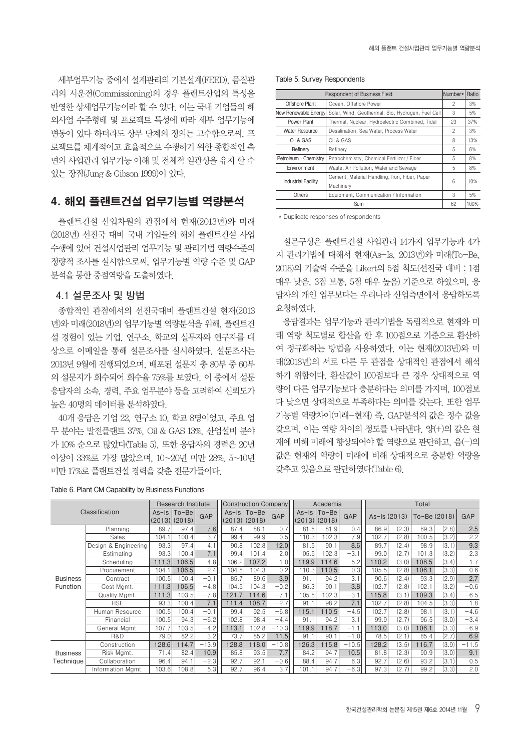세부업무기능 중에서 설계관리의 기본설계(FEED), 품질관 리의 시운전(Commissioning)의 경우 플랜트산업의 특성을 반영한 상세업무기능이라 할 수 있다. 이는 국내 기업들의 해 외사업 수주형태 및 프로젝트 특성에 따라 세부 업무기능에 변동이 있다 하더라도 상부 단계의 정의는 고수함으로써, 프 로젝트를 체계적이고 효율적으로 수행하기 위한 종합적인 측 면의 사업관리 업무기능 이해 및 전체적 일관성을 유지 할 수 있는 장점(Jung & Gibson 1999)이 있다.

# 4. 해외 플랜트건설 업무기능별 역량분석

플랜트건설 산업차원의 관점에서 현재(2013년)와 미래 (2018년) 선진국 대비 국내 기업들의 해외 플랜트건설 사업 수행에 있어 건설사업관리 업무기능 및 관리기법 역량수준의 정량적 조사를 실시함으로써, 업무기능별 역량 수준 및 GAP 분석을 통한 중점역량을 도출하였다.

### **4.1 설문조사 및 방법**

종합적인 관점에서의 선진국대비 플랜트건설 현재(2013 년)와 미래(2018년)의 업무기능별 역량분석을 위해, 플랜트건 설 경험이 있는 기업, 연구소, 학교의 실무자와 연구자를 대 상으로 이메일을 통해 설문조사를 실시하였다. 설문조사는 2013년 9월에 진행되었으며, 배포된 설문지 총 80부 중 60부 의 설문지가 회수되어 회수율 75%를 보였다. 이 중에서 설문 응답자의 소속, 경력, 주요 업무분야 등을 고려하여 신뢰도가 높은 40명의 데이터를 분석하였다.

40개 응답은 기업 22, 연구소 10, 학교 8명이었고, 주요 업 무 분야는 발전플랜트 37%, Oil & GAS 13%, 산업설비 분야 가 10% 순으로 많았다(Table 5). 또한 응답자의 경력은 20년 이상이 33%로 가장 많았으며, 10~20년 미만 28%, 5~10년 미만 17%로 플랜트건설 경력을 갖춘 전문가들이다.

#### **Table 5. Survey Respondents**

|                            | <b>Respondent of Business Field</b>                        | Number* | Ratio |
|----------------------------|------------------------------------------------------------|---------|-------|
| Offshore Plant             | Ocean, Offshore Power                                      | 2       | 3%    |
| New Renewable Energy       | Solar, Wind, Geothermal, Bio, Hydrogen, Fuel Cell          | 3       | 5%    |
| Power Plant                | Thermal, Nuclear, Hydroelectric Combined, Tidal            | 23      | 37%   |
| <b>Water Resource</b>      | Desalination, Sea Water, Process Water                     | 2       | 3%    |
| Oil & GAS                  | Oil & GAS                                                  | 8       | 13%   |
| Refinery                   | Refinery                                                   | 5       | 8%    |
| Petroleum · Chemistry      | Petrochemistry, Chemical Fertilizer / Fiber                | 5       | 8%    |
| Environment                | Waste, Air Pollution, Water and Sewage                     | 5       | 8%    |
| <b>Industrial Facility</b> | Cement, Material Handling, Iron, Fiber, Paper<br>Machinery | 6       | 10%   |
| <b>Others</b>              | Equipment, Communication / Information                     | 3       | 5%    |
|                            | Sum                                                        | 62      | 100%  |

\* Duplicate responses of respondents

설문구성은 플랜트건설 사업관리 14가지 업무기능과 4가 지 관리기법에 대해서 현재(As-Is, 2013년)와 미래(To-Be, 2018)의 기술력 수준을 Likert의 5점 척도(선진국 대비 : 1점 매우 낮음, 3점 보통, 5점 매우 높음) 기준으로 하였으며, 응 답자의 개인 업무보다는 우리나라 산업측면에서 응답하도록 요청하였다.

응답결과는 업무기능과 관리기법을 독립적으로 현재와 미 래 역량 척도별로 합산을 한 후 100점으로 기준으로 환산하 여 정규화하는 방법을 사용하였다. 이는 현재(2013년)와 미 래(2018년)의 서로 다른 두 관점을 상대적인 관점에서 해석 하기 위함이다. 환산값이 100점보다 큰 경우 상대적으로 역 량이 다른 업무기능보다 충분하다는 의미를 가지며, 100점보 다 낮으면 상대적으로 부족하다는 의미를 갖는다. 또한 업무 기능별 역량차이(미래-현재) 즉, GAP분석의 값은 정수 값을 갖으며, 이는 역량 차이의 정도를 나타낸다. 양(+)의 값은 현 재에 비해 미래에 향상되어야 할 역량으로 판단하고, 음(-)의 값은 현재의 역량이 미래에 비해 상대적으로 충분한 역량을 갖추고 있음으로 판단하였다(Table 6).

|                 |                      |              | Research Institute |         | Construction Company |                                 |         |         | Academia                  |         | Total        |       |              |       |            |
|-----------------|----------------------|--------------|--------------------|---------|----------------------|---------------------------------|---------|---------|---------------------------|---------|--------------|-------|--------------|-------|------------|
|                 | Classification       | (2013)(2018) | As-Is   To-Be      | GAP     |                      | As-Is   To-Be  <br>(2013)(2018) | GAP     | $As-Is$ | $To - Be$<br>(2013)(2018) | GAP     | As-Is (2013) |       | To-Be (2018) |       | <b>GAP</b> |
|                 | Planning             | 89.7         | 97.4               | 7.6     | 87.4                 | 88.1                            | 0.7     | 81.5    | 81.9                      | 0.4     | 86.9         | (2.3) | 89.3         | (2.8) | 2.5        |
|                 | Sales                | 104.1        | 100.4              | $-3.7$  | 99.4                 | 99.9                            | 0.5     | 110.3   | 102.3                     | $-7.9$  | 102.7        | (2.8) | 100.5        | (3.2) | $-2.2$     |
|                 | Design & Engineering | 93.3         | 97.4               | 4.1     | 90.8                 | 102.8                           | 12.0    | 81.5    | 90.1                      | 8.6     | 89.7         | (2.4) | 98.9         | (3.1) | 9.3        |
|                 | Estimating           | 93.3         | 100.4              | 7.1     | 99.4                 | 101.4                           | 2.0     | 105.5   | 102.3                     | $-3.1$  | 99.0         | (2.7) | 101.3        | (3.2) | 2.3        |
|                 | Scheduling           | 111.3        | 106.5              | $-4.8$  | 106.2                | 107.2                           | 0.5     | 119.9   | 114.6                     | $-5.2$  | 110.2        | (3.0) | 108.5        | (3.4) | $-1.7$     |
|                 | Procurement          | 104.1        | 106.5              | 2.4     | 104.5                | 104.3                           | $-0.2$  | 110.3   | 110.5                     | 0.3     | 105.5        | (2.8) | 106.1        | (3.3) | 0.6        |
| <b>Business</b> | Contract             | 100.5        | 100.4              | $-0.1$  | 85.7                 | 89.6                            | 3.9     | 91.1    | 94.2                      | 3.1     | 90.6         | (2.4) | 93.3         | (2.9) | 2.7        |
| Function        | Cost Mgmt.           | 111.3        | 106.5              | $-4.8$  | 104.5                | 104.3                           | $-0.2$  | 86.3    | 90.1                      | 3.8     | 102.7        | (2.8) | 102.1        | (3.2) | $-0.6$     |
|                 | Quality Mgmt.        | 111.3        | 103.5              | $-7.8$  | 121.7                | 114.6                           | $-7.1$  | 105.5   | 102.3                     | $-3.1$  | 115.8        | (3.1) | 109.3        | (3.4) | $-6.5$     |
|                 | <b>HSE</b>           | 93.3         | 100.4              | 7.1     | 111.4                | 108.7                           | $-2.7$  | 91.1    | 98.2                      | 7.1     | 102.7        | (2.8) | 104.5        | (3.3) | 1.8        |
|                 | Human Resource       | 100.5        | 100.4              | $-0.1$  | 99.4                 | 92.5                            | $-6.8$  | 115.1   | 10.5                      | $-4.5$  | 102.7        | (2.8) | 98.1         | (3.1) | $-4.6$     |
|                 | Financial            | 100.5        | 94.3               | $-6.2$  | 102.8                | 98.4                            | $-4.4$  | 91.1    | 94.2                      | 3.1     | 99.9         | (2.7) | 96.5         | (3.0) | $-3.4$     |
|                 | General Mgmt.        | 107.7        | 103.5              | $-4.2$  | 113.1                | 102.8                           | $-10.3$ | 119.9   | 118.7                     | $-1.1$  | 113.0        | (3.0) | 106.1        | (3.3) | $-6.9$     |
|                 | R&D                  | 79.0         | 82.2               | 3.2     | 73.7                 | 85.2                            | 11.5    | 91.1    | 90.1                      | $-1.0$  | 78.5         | (2.1) | 85.4         | (2.7) | 6.9        |
|                 | Construction         | 128.6        | 114.7              | $-13.9$ | 128.8                | 118.0                           | $-10.8$ | 126.3   | 115.8                     | $-10.5$ | 128.2        | (3.5) | 116.7        | (3.9) | $-11.5$    |
| <b>Business</b> | Risk Mgmt.           | 71.4         | 82.4               | 10.9    | 85.8                 | 93.5                            | 7.7     | 84.2    | 94.7                      | 10.5    | 81.8         | (2.3) | 90.9         | (3.0) | 9.1        |
| Technique       | Collaboration        | 96.4         | 94.1               | $-2.3$  | 92.7                 | 92.1                            | $-0.6$  | 88.4    | 94.7                      | 6.3     | 92.7         | (2.6) | 93.2         | (3.1) | 0.5        |
|                 | Information Mamt.    | 103.6        | 108.8              | 5.3     | 92.7                 | 96.4                            | 3.7     | 101.1   | 94.7                      | $-6.3$  | 97.3         | (2.7) | 99.2         | (3.3) | 2.0        |

#### **Table 6. Plant CM Capability by Business Functions**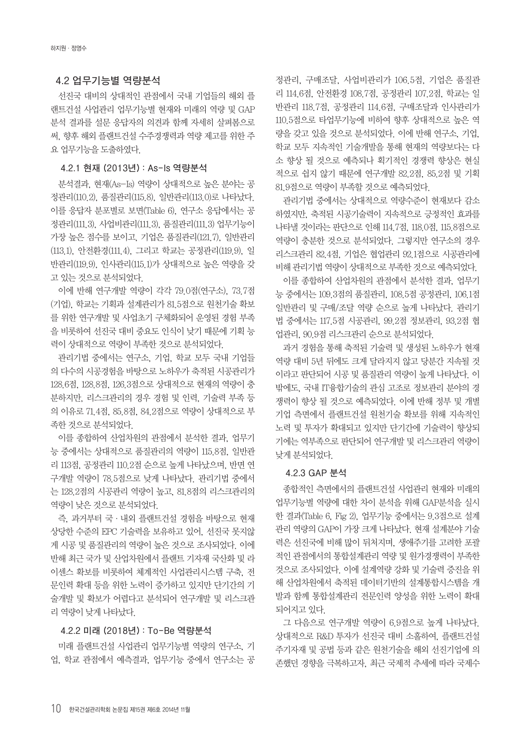### **4.2 업무기능별 역량분석**

선진국 대비의 상대적인 관점에서 국내 기업들의 해외 플 랜트건설 사업관리 업무기능별 현재와 미래의 역량 및 GAP 분석 결과를 설문 응답자의 의견과 함께 자세히 살펴봄으로 써, 향후 해외 플랜트건설 수주경쟁력과 역량 제고를 위한 주 요 업무기능을 도출하였다.

### **4.2.1 현재 (2013년) : As-Is 역량분석**

분석결과, 현재(As-Is) 역량이 상대적으로 높은 분야는 공 정관리(110.2), 품질관리(115.8), 일반관리(113.0)로 나타났다. 이를 응답자 분포별로 보면(Table 6), 연구소 응답에서는 공 정관리(111.3), 사업비관리(111.3), 품질관리(111.3) 업무기능이 가장 높은 점수를 보이고, 기업은 품질관리(121.7), 일반관리 (113.1), 안전환경(111.4), 그리고 학교는 공정관리(119.9), 일 반관리(119.9), 인사관리(115.1)가 상대적으로 높은 역량을 갖 고 있는 것으로 분석되었다.

이에 반해 연구개발 역량이 각각 79.0점(연구소), 73.7점 (기업), 학교는 기획과 설계관리가 81.5점으로 원천기술 확보 를 위한 연구개발 및 사업초기 구체화되어 운영된 경험 부족 을 비롯하여 선진국 대비 중요도 인식이 낮기 때문에 기획 능 력이 상대적으로 역량이 부족한 것으로 분석되었다.

관리기법 중에서는 연구소, 기업, 학교 모두 국내 기업들 의 다수의 시공경험을 바탕으로 노하우가 축적된 시공관리가 128.6점, 128.8점, 126.3점으로 상대적으로 현재의 역량이 충 분하지만, 리스크관리의 경우 경험 및 인력, 기술력 부족 등 의 이유로 71.4점, 85.8점, 84.2점으로 역량이 상대적으로 부 족한 것으로 분석되었다.

이를 종합하여 산업차원의 관점에서 분석한 결과, 업무기 능 중에서는 상대적으로 품질관리의 역량이 115.8점, 일반관 리 113점, 공정관리 110.2점 순으로 높게 나타났으며, 반면 연 구개발 역량이 78.5점으로 낮게 나타났다. 관리기법 중에서 는 128.2점의 시공관리 역량이 높고, 81.8점의 리스크관리의 역량이 낮은 것으로 분석되었다.

즉, 과거부터 국·내외 플랜트건설 경험을 바탕으로 현재 상당한 수준의 EPC 기술력을 보유하고 있어, 선진국 못지않 게 시공 및 품질관리의 역량이 높은 것으로 조사되었다. 이에 반해 최근 국가 및 산업차원에서 플랜트 기자재 국산화 및 라 이센스 확보를 비롯하여 체계적인 사업관리시스템 구축, 전 문인력 확대 등을 위한 노력이 증가하고 있지만 단기간의 기 술개발 및 확보가 어렵다고 분석되어 연구개발 및 리스크관 리 역량이 낮게 나타났다.

### **4.2.2 미래 (2018년) : To-Be 역량분석**

미래 플랜트건설 사업관리 업무기능별 역량의 연구소, 기 업, 학교 관점에서 예측결과, 업무기능 중에서 연구소는 공

정관리, 구매조달, 사업비관리가 106.5점, 기업은 품질관 리 114.6점, 안전환경 108.7점, 공정관리 107.2점, 학교는 일 반관리 118.7점, 공정관리 114.6점, 구매조달과 인사관리가 110.5점으로 타업무기능에 비하여 향후 상대적으로 높은 역 량을 갖고 있을 것으로 분석되었다. 이에 반해 연구소, 기업, 학교 모두 지속적인 기술개발을 통해 현재의 역량보다는 다 소 향상 될 것으로 예측되나 획기적인 경쟁력 향상은 현실 적으로 쉽지 않기 때문에 연구개발 82.2점, 85.2점 및 기획 81.9점으로 역량이 부족할 것으로 예측되었다.

관리기법 중에서는 상대적으로 역량수준이 현재보다 감소 하였지만, 축적된 시공기술력이 지속적으로 긍정적인 효과를 나타낼 것이라는 판단으로 인해 114.7점, 118.0점, 115.8점으로 역량이 충분한 것으로 분석되었다. 그렇지만 연구소의 경우 리스크관리 82.4점, 기업은 협업관리 92.1점으로 시공관리에 비해 관리기법 역량이 상대적으로 부족한 것으로 예측되었다.

이를 종합하여 산업차원의 관점에서 분석한 결과, 업무기 능 중에서는 109.3점의 품질관리, 108.5점 공정관리, 106.1점 일반관리 및 구매/조달 역량 순으로 높게 나타났다. 관리기 법 중에서는 117.5점 시공관리, 99.2점 정보관리, 93.2점 협 업관리, 90.9점 리스크관리 순으로 분석되었다.

과거 경험을 통해 축적된 기술력 및 생성된 노하우가 현재 역량 대비 5년 뒤에도 크게 달라지지 않고 당분간 지속될 것 이라고 판단되어 시공 및 품질관리 역량이 높게 나타났다. 이 밖에도, 국내 IT융합기술의 관심 고조로 정보관리 분야의 경 쟁력이 향상 될 것으로 예측되었다. 이에 반해 정부 및 개별 기업 측면에서 플랜트건설 원천기술 확보를 위해 지속적인 노력 및 투자가 확대되고 있지만 단기간에 기술력이 향상되 기에는 역부족으로 판단되어 연구개발 및 리스크관리 역량이 낮게 분석되었다.

### **4.2.3 GAP 분석**

종합적인 측면에서의 플랜트건설 사업관리 현재와 미래의 업무기능별 역량에 대한 차이 분석을 위해 GAP분석을 실시 한 결과(Table 6, Fig 2), 업무기능 중에서는 9.3점으로 설계 관리 역량의 GAP이 가장 크게 나타났다. 현재 설계분야 기술 력은 선진국에 비해 많이 뒤처지며, 생애주기를 고려한 포괄 적인 관점에서의 통합설계관리 역량 및 원가경쟁력이 부족한 것으로 조사되었다. 이에 설계역량 강화 및 기술력 증진을 위 해 산업차원에서 축적된 데이터기반의 설계통합시스템을 개 발과 함께 통합설계관리 전문인력 양성을 위한 노력이 확대 되어지고 있다.

그 다음으로 연구개발 역량이 6.9점으로 높게 나타났다. 상대적으로 R&D 투자가 선진국 대비 소홀하여, 플랜트건설 주기자재 및 공법 등과 같은 원천기술을 해외 선진기업에 의 존했던 경향을 극복하고자, 최근 국제적 추세에 따라 국제수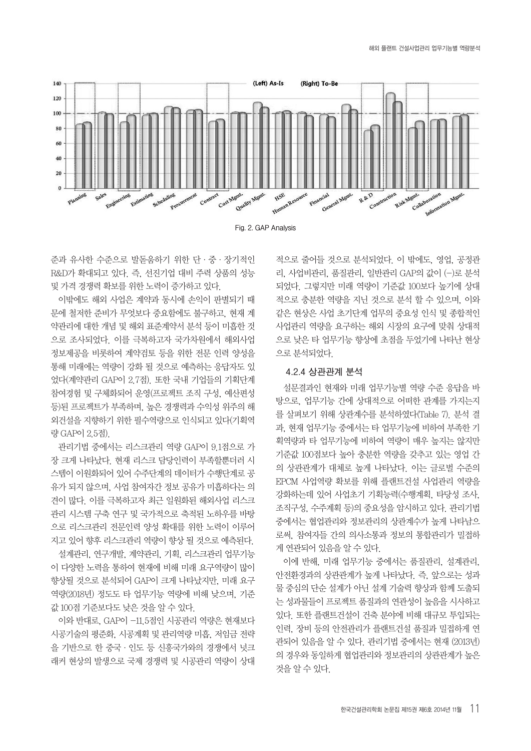



준과 유사한 수준으로 발돋움하기 위한 단·중·장기적인 R&D가 확대되고 있다. 즉, 선진기업 대비 주력 상품의 성능 및 가격 경쟁력 확보를 위한 노력이 증가하고 있다.

이밖에도 해외 사업은 계약과 동시에 손익이 판별되기 때 문에 철저한 준비가 무엇보다 중요함에도 불구하고, 현재 계 약관리에 대한 개념 및 해외 표준계약서 분석 등이 미흡한 것 으로 조사되었다. 이를 극복하고자 국가차원에서 해외사업 정보제공을 비롯하여 계약검토 등을 위한 전문 인력 양성을 통해 미래에는 역량이 강화 될 것으로 예측하는 응답자도 있 었다(계약관리 GAP이 2.7점). 또한 국내 기업들의 기획단계 참여경험 및 구체화되어 운영(프로젝트 조직 구성, 예산편성 등)된 프로젝트가 부족하며, 높은 경쟁력과 수익성 위주의 해 외건설을 지향하기 위한 필수역량으로 인식되고 있다(기획역 량 GAP이 2.5점).

관리기법 중에서는 리스크관리 역량 GAP이 9.1점으로 가 장 크게 나타났다. 현재 리스크 담당인력이 부족할뿐더러 시 스템이 이원화되어 있어 수주단계의 데이터가 수행단계로 공 유가 되지 않으며, 사업 참여자간 정보 공유가 미흡하다는 의 견이 많다. 이를 극복하고자 최근 일원화된 해외사업 리스크 관리 시스템 구축 연구 및 국가적으로 축적된 노하우를 바탕 으로 리스크관리 전문인력 양성 확대를 위한 노력이 이루어 지고 있어 향후 리스크관리 역량이 향상 될 것으로 예측된다.

설계관리, 연구개발, 계약관리, 기획, 리스크관리 업무기능 이 다양한 노력을 통하여 현재에 비해 미래 요구역량이 많이 향상될 것으로 분석되어 GAP이 크게 나타났지만, 미래 요구 역량(2018년) 정도도 타 업무기능 역량에 비해 낮으며, 기준 값 100점 기준보다도 낮은 것을 알 수 있다.

이와 반대로, GAP이 -11.5점인 시공관리 역량은 현재보다 시공기술의 평준화, 시공계획 및 관리역량 미흡, 저임금 전략 을 기반으로 한 중국·인도 등 신흥국가와의 경쟁에서 넛크 래커 현상의 발생으로 국제 경쟁력 및 시공관리 역량이 상대

적으로 줄어들 것으로 분석되었다. 이 밖에도, 영업, 공정관 리, 사업비관리, 품질관리, 일반관리 GAP의 값이 (-)로 분석 되었다. 그렇지만 미래 역량이 기준값 100보다 높기에 상대 적으로 충분한 역량을 지닌 것으로 분석 할 수 있으며, 이와 같은 현상은 사업 초기단계 업무의 중요성 인식 및 종합적인 사업관리 역량을 요구하는 해외 시장의 요구에 맞춰 상대적 으로 낮은 타 업무기능 향상에 초점을 두었기에 나타난 현상 으로 분석되었다.

### **4.2.4 상관관계 분석**

설문결과인 현재와 미래 업무기능별 역량 수준 응답을 바 탕으로, 업무기능 간에 상대적으로 어떠한 관계를 가지는지 를 살펴보기 위해 상관계수를 분석하였다(Table 7). 분석 결 과, 현재 업무기능 중에서는 타 업무기능에 비하여 부족한 기 획역량과 타 업무기능에 비하여 역량이 매우 높지는 않지만 기준값 100점보다 높아 충분한 역량을 갖추고 있는 영업 간 의 상관관계가 대체로 높게 나타났다. 이는 글로벌 수준의 EPCM 사업역량 확보를 위해 플랜트건설 사업관리 역량을 강화하는데 있어 사업초기 기획능력(수행계획, 타당성 조사, 조직구성, 수주계획 등)의 중요성을 암시하고 있다. 관리기법 중에서는 협업관리와 정보관리의 상관계수가 높게 나타남으 로써, 참여자들 간의 의사소통과 정보의 통합관리가 밀접하 게 연관되어 있음을 알 수 있다.

이에 반해, 미래 업무기능 중에서는 품질관리, 설계관리, 안전환경과의 상관관계가 높게 나타났다. 즉, 앞으로는 성과 물 중심의 단순 설계가 아닌 설계 기술력 향상과 함께 도출되 는 성과물들이 프로젝트 품질과의 연관성이 높음을 시사하고 있다. 또한 플랜트건설이 건축 분야에 비해 대규모 투입되는 인력, 장비 등의 안전관리가 플랜트건설 품질과 밀접하게 연 관되어 있음을 알 수 있다. 관리기법 중에서는 현재 (2013년) 의 경우와 동일하게 협업관리와 정보관리의 상관관계가 높은 것을 알 수 있다.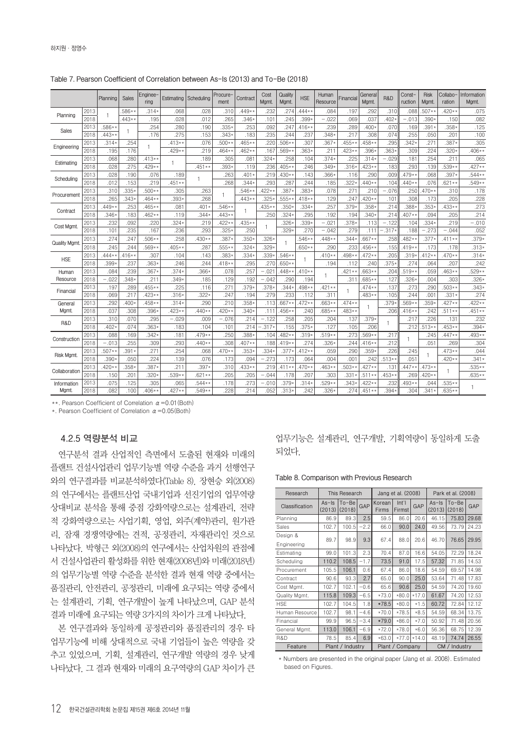|                     |      | Planning | <b>Sales</b> | Enginee-<br>ring | Estimating   | Scheduling | Procure-<br>ment | Contract | Cost<br>Mgmt. | Quality<br>Mgmt. | <b>HSE</b> | Human<br>Resource | Financial | General<br>Mgmt. | R&D      | Const-<br>ruction | <b>Risk</b><br>Mgmt. | Collabo-<br>ration | Information<br>Mgmt. |
|---------------------|------|----------|--------------|------------------|--------------|------------|------------------|----------|---------------|------------------|------------|-------------------|-----------|------------------|----------|-------------------|----------------------|--------------------|----------------------|
| Planning            | 2013 | 1.       | $.586**$     | $.314*$          | .068         | .028       | .310             | $.449**$ | .232          | .274             | $.444**$   | .084              | .197      | .292             | .310     | .088              | $.507**$             | $.420**$           | .075                 |
|                     | 2018 |          | $.443**$     | .195             | .028         | .012       | .265             | $.346*$  | .101          | .245             | .399.      | $-.022$           | .069      | .037             | $402 +$  | $-.013$           | $.390*$              | .150               | .082                 |
| Sales               | 2013 | $.586**$ | -1           | .254             | .280         | .190       | $.335*$          | .253     | .092          | .247             | $.416**$   | .239              | .289      | $400*$           | .070     | .169              | $.391*$              | $.358*$            | .125                 |
|                     | 2018 | $.443**$ |              | .176             | .275         | .153       | $.343*$          | .183     | .235          | .244             | .237       | $.348*$           | .217      | .308             | .074     | .255              | .050                 | .201               | .100                 |
| Engineering         | 2013 | $.314*$  | .254         | 1                | $.413**$     | .076       | $.500*$          | $.465**$ | .220          | $.506**$         | .307       | $.367*$           | $.455**$  | 458**            | .295     | $.342*$           | .27                  | $.387*$            | .305                 |
|                     | 2018 | .195     | .176         |                  | $.429*$      | .219       | $.464**$         | $.462**$ | .167          | $.569**$         | $.363*$    | .211              | $.423**$  | $.396*$          | $.363*$  | .309              | .224                 | $.320*$            | $.406**$             |
| Estimating          | 2013 | .068     | .280         | $.413**$         | $\mathbf{1}$ | .189       | .305             | .081     | $.324*$       | .258             | .104       | $.374*$           | .225      | $.314*$          | $-.029$  | .181              | .254                 | .211               | .065                 |
|                     | 2018 | .028     | .275         | $.429**$         |              | $.451**$   | $.393*$          | .119     | .236          | $405**$          | .246       | $.349*$           | $.316*$   | $423**$          | .183     | .293              | .139                 | $.539**$           | $.427**$             |
| Scheduling          | 2013 | .028     | .190         | .076             | .189         | 1          | .263             | $.401*$  | .219          | $430**$          | .143       | $.366*$           | .116      | .290             | .009     | $.479**$          | .068                 | $.397*$            | $.544**$             |
|                     | 2018 | .012     | .153         | .219             | $.451**$     |            | .268             | $.344*$  | .293          | .287             | .244       | .185              | $.322*$   | $440**$          | .104     | $.440**$          | .076                 | $.621**$           | $.549**$             |
| Procurement         | 2013 | .310     | $.335*$      | $.500**$         | .305         | .263       | 1                | $.546**$ | $.422*$       | $.387*$          | $.383*$    | .078              | .271      | .210             | $-.076$  | .250              | $.470**$             | .310               | .178                 |
|                     | 2018 | .265     | $.343*$      | $.464**$         | $.393*$      | .268       |                  | $.443*$  | .325          | $555***$         | $.418**$   | .129              | .247      | $420**$          | .101     | .308              | .173                 | .205               | .228                 |
| Contract            | 2013 | $.449**$ | .253         | $.465**$         | .081         | .401       | $.546**$         | 1        | $.435*$       | $.350*$          | $.334*$    | .257              | $.379*$   | $.358*$          | .214     | $.388*$           | $.353*$              | $.433**$           | .273                 |
|                     | 2018 | $.346*$  | .183         | $.462**$         | .119         | $.344*$    | $.443*$          |          | .250          | $.324*$          | .295       | .192              | .194      | $.340*$          | .214     | $.407**$          | .094                 | .205               | .214                 |
| Cost Mgmt.          | 2013 | .232     | .092         | .220             | $.324*$      | .219       | $.422*$          | $.435**$ |               | $.326*$          | .339       | $-.021$           | $.378*$   | .113             | $-.122$  | .104              | $.334*$              | .219               | $-.010$              |
|                     | 2018 | .101     | .235         | .167             | .236         | .293       | .325:            | .250     |               | $.329*$          | .270       | $-.042$           | .279      | .111             | $-.317*$ | .188              | $-.273$              | $-.044$            | .052                 |
| <b>Quality Mgmt</b> | 2013 | .274     | .247         | $.506**$         | .258         | $.430**$   | .387             | $.350 -$ | $.326*$       | 1                | $.546*$    | $.448**$          | $.344*$   | $.667**$         | .258     | $.482**$          | $.377*$              | .411**             | $.379*$              |
|                     | 2018 | .245     | .244         | $.569**$         | $.405**$     | .287       | $.555**$         | $.324*$  | $.329*$       |                  | $.650**$   | .290              | .233      | 456**            | .155     | $.419**$          | .173                 | .178               | $.313*$              |
| <b>HSE</b>          | 2013 | $.444**$ | $416**$      | .307             | .104         | .143       | .383·            | $.334*$  | .339          | $.546**$         |            | $.410**$          | $.498**$  | $.472**$         | .205     | $.319*$           | $.412**$             | $.470**$           | $.314*$              |
|                     | 2018 | $.399*$  | .237         | $.363*$          | .246         | .244       | $.418**$         | .295     | .270          | $.650**$         |            | .194              | .112      | .240             | $.375*$  | .274              | .064                 | .207               | .242                 |
| Human               | 2013 | .084     | .239         | $.367*$          | $.374*$      | $.366*$    | .078             | .257     | $-.02$        | $448**$          | $410**$    |                   | $.421*$   | $.663**$         | .204     | $.519**$          | .059                 | $.463**$           | $.529**$             |
| Resource            | 2018 | $-.022$  | $.348*$      | .211             | $.349*$      | .185       | .129             | .192     | $-.042$       | .290             | .194       | 1                 | .311      | $.685**$         | .127     | $.326*$           | .004                 | .303               | $.326*$              |
|                     | 2013 | .197     | .289         | $.455**$         | .225         | .116       | .271             | $.379*$  | $.378*$       | $.344*$          | $498**$    | $.421**$          |           | $.474**$         | .137     | .273              | .290                 | $.503**$           | $.343*$              |
| Financial           | 2018 | .069     | .217         | $.423**$         | $.316*$      | $.322*$    | .247             | .194     | .279          | .233             | .112       | .311              |           | $.483**$         | .105     | .244              | .001                 | $.331*$            | .274                 |
| General             | 2013 | .292     | $.400*$      | $.458**$         | $.314*$      | .290       | .210             | $.358*$  | .113          | $.667**$         | $.472**$   | $.663**$          | $.474**$  | 1                | $.379*$  | $.569**$          | $.359*$              | $.427**$           | $.422**$             |
| <b>Mgmt</b>         | 2018 | .037     | .308         | $.396*$          | $.423*$      | $.440**$   | $.420**$         | $.340*$  | .111          | $.456**$         | .240       | $.685**$          | $.483**$  |                  | .206     | $.416**$          | .242                 | $.511**$           | $.451**$             |
|                     | 2013 | .310     | .070         | .295             | $-.029$      | .009       | $-.076$          | .214     | $-.122$       | .258             | .205       | .204              | .137      | $.379*$          | 1        | .217              | .226                 | .131               | .232                 |
| R&D                 | 2018 | $.402*$  | .074         | $.363*$          | .183         | .104       | .101             | .214     | $.317*$       | .155             | $.375*$    | .127              | .105      | .206             |          | .212              | $.513**$             | $.453**$           | $.394*$              |
|                     | 2013 | .088     | .169         | $.342*$          | .181         | $.479**$   | .250             | .388*    | .104          | 482**            | $.319*$    | $.519**$          | .273      | 569**            | .217     | 1                 | .245                 | $.447**$           | $.493**$             |
| Construction        | 2018 | $-.013$  | .255         | .309             | .293         | $.440**$   | .308             | $.407**$ | .188          | $.419**$         | .274       | $.326*$           | .244      | $416**$          | .212     |                   | .051                 | .269               | .304                 |
|                     | 2013 | $.507**$ | $.391*$      | .271             | .254         | .068       | $.470**$         | $.353*$  | $.334*$       | $.377*$          | $.412**$   | .059              | .290      | $.359*$          | .226     | .245              |                      | $.473**$           | .044                 |
| Risk Mgmt.          | 2018 | $.390*$  | .050         | .224             | .139         | .076       | .173             | .094     | $-.273$       | .173             | .064       | .004              | .001      | .242             | $.513**$ | .051              |                      | $.420**$           | $.341*$              |
|                     | 2013 | $.420**$ | $.358*$      | $.387*$          | .211         | $.397*$    | .310             | $.433**$ | .219          | $.411**$         | $.470**$   | $.463**$          | $.503*$   | $427**$          | .131     | $.447**$          | $.473**$             |                    | $.535**$             |
| Collaboration       | 2018 | .150     | .201         | $.320*$          | $.539*$      | $.621**$   | .205             | .205     | $-.044$       | .178             | .207       | .303              | .331      | $.511**$         | $.453**$ | .269              | $.420**$             | 1                  | $.635**$             |
| Information         | 2013 | .075     | .125         | .305             | .065         | $.544**$   | .178             | .273     | $-.010$       | $.379*$          | $.314*$    | $.529**$          | $.343*$   | 422**            | .232     | $.493**$          | .044                 | $.535**$           |                      |
| Mgmt.               | 2018 | .082     | .100         | $.406**$         | $.427**$     | $.549**$   | .228             | .214     | .052          | $.313*$          | .242       | $.326*$           | .274      | $.451**$         | $394*$   | .304              | $.341*$              | $.635**$           |                      |

**Table 7. Pearson Coefficient of Correlation between As-Is (2013) and To-Be (2018)**

\*\*. Pearson Coefficient of Correlation  $\alpha$  =0.01 (Both)

\*. Pearson Coefficient of Correlation  $\alpha$  = 0.05(Both)

### **4.2.5 역량분석 비교**

연구분석 결과 산업적인 측면에서 도출된 현재와 미래의 플랜트 건설사업관리 업무기능별 역량 수준을 과거 선행연구 와의 연구결과를 비교분석하였다(Table 8). 장현승 외(2008) 의 연구에서는 플랜트산업 국내기업과 선진기업의 업무역량 상대비교 분석을 통해 중점 강화역량으로는 설계관리, 전략 적 강화역량으로는 사업기획, 영업, 외주(계약)관리, 원가관 리, 잠재 경쟁역량에는 견적, 공정관리, 자재관리인 것으로 나타났다. 박형근 외(2008)의 연구에서는 산업차원의 관점에 서 건설사업관리 활성화를 위한 현재(2008년)와 미래(2018년) 의 업무기능별 역량 수준을 분석한 결과 현재 역량 중에서는 품질관리, 안전관리, 공정관리, 미래에 요구되는 역량 중에서 는 설계관리, 기획, 연구개발이 높게 나타났으며, GAP 분석 결과 미래에 요구되는 역량 3가지의 차이가 크게 나타났다.

본 연구결과와 동일하게 공정관리와 품질관리의 경우 타 업무기능에 비해 상대적으로 국내 기업들이 높은 역량을 갖 추고 있었으며, 기획, 설계관리, 연구개발 역량의 경우 낮게 나타났다. 그 결과 현재와 미래의 요구역량의 GAP 차이가 큰 업무기능은 설계관리, 연구개발, 기획역량이 동일하게 도출 되었다.

#### **Table 8. Comparison with Previous Research**

| Research       |                     | This Research    |        |                 | Jang et al. (2008)         |         | Park et al. (2008)  |                     |       |  |  |
|----------------|---------------------|------------------|--------|-----------------|----------------------------|---------|---------------------|---------------------|-------|--|--|
| Classification | $As - Is$<br>(2013) | To-Be<br>(2018)  | GAP    | Korean<br>Firms | Int <sup>7</sup><br>Firmst | GAP     | $As - Is$<br>(2013) | $To - Be$<br>(2018) | GAP   |  |  |
| Planning       | 86.9                | 89.3             | 2.5    | 59.5            | 86.0                       | 20.6    | 46.15               | 75.83               | 29.68 |  |  |
| Sales          | 102.7               | 100.5            | -2.21  | 66.0            | 90.0                       | 24.0    | 49.56               | 73.79               | 24.23 |  |  |
| Design &       | 89.7                | 98.9             | 9.3    | 67.4            | 88.0                       | 20.6    | 46.70               | 76.65               | 29.95 |  |  |
| Engineering    |                     |                  |        |                 |                            |         |                     |                     |       |  |  |
| Estimating     | 99.0                | 101.3            | 2.3    | 70.4            | 87.0                       | 16.6    | 54.05               | 72.29               | 18.24 |  |  |
| Scheduling     | 110.2               | 108.5            | $-1.7$ | 73.5            | 91.0                       | 17.5    | 57.32               | 71.85               | 14.53 |  |  |
| Procurement    | 105.5               | 106.1            | 0.6    | 67.4            | 86.0                       | 18.6    | 54.59               | 69.57               | 14.98 |  |  |
| Contract       | 90.6                | 93.3             | 2.7    | 65.0            | 90.0                       | 25.0    | 53.64               | 71.48               | 17.83 |  |  |
| Cost Mgmt.     | 102.7               | 102.1            | $-0.6$ | 65.6            | 90.6                       | 25.0    | 54.59               | 74.20               | 19.60 |  |  |
| Quality Mgmt.  | 115.8               | 109.3            | $-6.5$ | $*73.0$         | $*80.0$                    | $*17.0$ | 61.67               | 74.20               | 12.53 |  |  |
| <b>HSE</b>     | 102.7               | 104.5            | 1.8    | *78.5           | $*80.0$                    | $*1.5$  | 60.72               | 72.84               | 12.12 |  |  |
| Human Resource | 102.7               | 98.1             | $-4.6$ | $*70.0$         | $*78.5$                    | $*8.5$  | 54.59               | 68.34               | 13.75 |  |  |
| Financial      | 99.9                | 96.5             | $-3.4$ | $*79.0$         | $*86.0$                    | $*7.0$  | 50.92               | 71.48               | 20.56 |  |  |
| General Mgmt.  | 113.0               | 106.1            | $-6.9$ | $*72.0$         | $*78.0$                    | $*6.0$  | 56.36               | 68.75               | 12.39 |  |  |
| R&D            | 78.5                | 85.4             | 6.9    | $*63.0$         | $*77.0$                    | $*14.0$ | 48.19               | 74.74               | 26.55 |  |  |
| Feature        |                     | Plant / Industry |        | Plant /         | Company                    |         | CM / Industry       |                     |       |  |  |

 \* Numbers are presented in the original paper (Jang et al. 2008). Estimated based on Figures.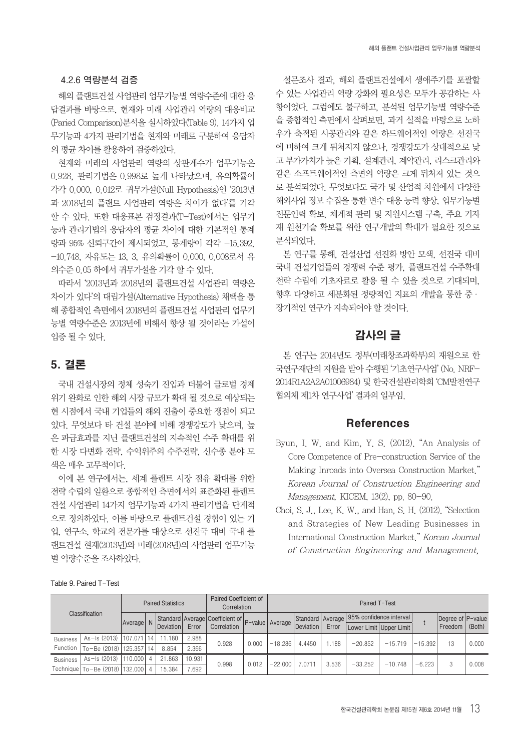### **4.2.6 역량분석 검증**

해외 플랜트건설 사업관리 업무기능별 역량수준에 대한 응 답결과를 바탕으로, 현재와 미래 사업관리 역량의 대응비교 (Paried Comparison)분석을 실시하였다(Table 9). 14가지 업 무기능과 4가지 관리기법을 현재와 미래로 구분하여 응답자 의 평균 차이를 활용하여 검증하였다.

현재와 미래의 사업관리 역량의 상관계수가 업무기능은 0.928, 관리기법은 0.998로 높게 나타났으며, 유의확률이 각각 0.000, 0.012로 귀무가설(Null Hypothesis)인 '2013년 과 2018년의 플랜트 사업관리 역량은 차이가 없다'를 기각 할 수 있다. 또한 대응표본 검정결과(T-Test)에서는 업무기 능과 관리기법의 응답자의 평균 차이에 대한 기본적인 통계 량과 95% 신뢰구간이 제시되었고, 통계량이 각각 -15.392, -10.748, 자유도는 13, 3, 유의확률이 0.000, 0.008로서 유 의수준 0.05 하에서 귀무가설을 기각 할 수 있다.

따라서 '2013년과 2018년의 플랜트건설 사업관리 역량은 차이가 있다'의 대립가설(Alternative Hypothesis) 채택을 통 해 종합적인 측면에서 2018년의 플랜트건설 사업관리 업무기 능별 역량수준은 2013년에 비해서 향상 될 것이라는 가설이 입증 될 수 있다.

# 5. 결론

국내 건설시장의 정체 성숙기 진입과 더불어 글로벌 경제 위기 완화로 인한 해외 시장 규모가 확대 될 것으로 예상되는 현 시점에서 국내 기업들의 해외 진출이 중요한 쟁점이 되고 있다. 무엇보다 타 건설 분야에 비해 경쟁강도가 낮으며, 높 은 파급효과를 지닌 플랜트건설의 지속적인 수주 확대를 위 한 시장 다변화 전략, 수익위주의 수주전략, 신수종 분야 모 색은 매우 고무적이다.

이에 본 연구에서는, 세계 플랜트 시장 점유 확대를 위한 전략 수립의 일환으로 종합적인 측면에서의 표준화된 플랜트 건설 사업관리 14가지 업무기능과 4가지 관리기법을 단계적 으로 정의하였다. 이를 바탕으로 플랜트건설 경험이 있는 기 업, 연구소, 학교의 전문가를 대상으로 선진국 대비 국내 플 랜트건설 현재(2013년)와 미래(2018년)의 사업관리 업무기능 별 역량수준을 조사하였다.

설문조사 결과, 해외 플랜트건설에서 생애주기를 포괄할 수 있는 사업관리 역량 강화의 필요성은 모두가 공감하는 사 항이었다. 그럼에도 불구하고, 분석된 업무기능별 역량수준 을 종합적인 측면에서 살펴보면, 과거 실적을 바탕으로 노하 우가 축적된 시공관리와 같은 하드웨어적인 역량은 선진국 에 비하여 크게 뒤처지지 않으나, 경쟁강도가 상대적으로 낮 고 부가가치가 높은 기획, 설계관리, 계약관리, 리스크관리와 같은 소프트웨어적인 측면의 역량은 크게 뒤처져 있는 것으 로 분석되었다. 무엇보다도 국가 및 산업적 차원에서 다양한 해외사업 정보 수집을 통한 변수 대응 능력 향상, 업무기능별 전문인력 확보, 체계적 관리 및 지원시스템 구축, 주요 기자 재 원천기술 확보를 위한 연구개발의 확대가 필요한 것으로 분석되었다.

본 연구를 통해, 건설산업 선진화 방안 모색, 선진국 대비 국내 건설기업들의 경쟁력 수준 평가, 플랜트건설 수주확대 전략 수립에 기초자료로 활용 될 수 있을 것으로 기대되며, 향후 다양하고 세분화된 정량적인 지표의 개발을 통한 중· 장기적인 연구가 지속되어야 할 것이다.

# 감사의 글

본 연구는 2014년도 정부(미래창조과학부)의 재원으로 한 국연구재단의 지원을 받아 수행된 '기초연구사업' (No. NRF-2014R1A2A2A01006984) 및 한국건설관리학회 'CM발전연구 협의체 제1차 연구사업' 결과의 일부임.

# References

- Byun, I. W. and Kim, Y. S. (2012). "An Analysis of Core Competence of Pre-construction Service of the Making Inroads into Oversea Construction Market." Korean Journal of Construction Engineering and Management, KICEM, 13(2), pp. 80-90.
- Choi, S. J., Lee, K. W., and Han, S. H. (2012). "Selection and Strategies of New Leading Businesses in International Construction Market." Korean Journal of Construction Engineering and Management,

|                 | Classification                     |         |    | <b>Paired Statistics</b> |        | Paired Coefficient of<br>Correlation            |       | Paired T-Test |                  |       |                                              |                           |           |                   |       |  |
|-----------------|------------------------------------|---------|----|--------------------------|--------|-------------------------------------------------|-------|---------------|------------------|-------|----------------------------------------------|---------------------------|-----------|-------------------|-------|--|
|                 |                                    | Average |    |                          |        | Standard Average Coefficient of P-value Average |       |               |                  |       | Standard   Average   95% confidence interval |                           |           | Degree of P-value |       |  |
|                 |                                    |         |    | Deviation                | Error  | Correlation                                     |       |               | <b>Deviation</b> | Error |                                              | Lower Limit   Upper Limit |           | Freedom   (Both)  |       |  |
| <b>Business</b> | As-Is (2013)   107.071             |         | 14 | 11.180                   | 2.988  | 0.928                                           | 0.000 | $-18.286$     | 4.4450           | 1.188 | $-20.852$                                    | $-15.719$                 | $-15.392$ | 13                | 0.000 |  |
| Function        | To-Be (2018)   125.357             |         | 14 | 8.854                    | 2.366  |                                                 |       |               |                  |       |                                              |                           |           |                   |       |  |
| <b>Business</b> | As-Is (2013)   110.000             |         | 4  | 21.863                   | 10.931 | 0.998                                           | 0.012 | $-22.000$     | .0711            | 3.536 | $-33.252$                                    | $-10.748$                 | $-6.223$  |                   | 0.008 |  |
|                 | Technique   To-Be (2018)   132,000 |         | 4  | 15.384                   | 7.692  |                                                 |       |               |                  |       |                                              |                           |           |                   |       |  |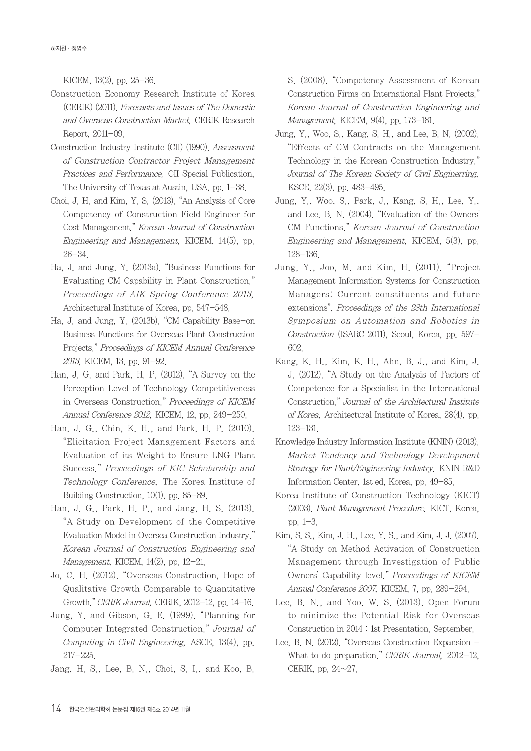KICEM, 13(2), pp. 25-36.

- Construction Economy Research Institute of Korea (CERIK) (2011). Forecasts and Issues of The Domestic and Overaeas Construction Market, CERIK Research Report, 2011-09.
- Construction Industry Institute (CII) (1990). Assessment of Construction Contractor Project Management Practices and Performance. CII Special Publication, The University of Texas at Austin, USA, pp. 1-38.
- Choi, J. H. and Kim, Y. S. (2013). "An Analysis of Core Competency of Construction Field Engineer for Cost Management." Korean Journal of Construction Engineering and Management, KICEM, 14(5), pp. 26-34.
- Ha, J. and Jung, Y. (2013a). "Business Functions for Evaluating CM Capability in Plant Construction." Proceedings of AIK Spring Conference 2013, Architectural Institute of Korea, pp. 547-548.
- Ha, J. and Jung, Y. (2013b). "CM Capability Base-on Business Functions for Overseas Plant Construction Projects." Proceedings of KICEM Annual Conference 2013, KICEM, 13, pp. 91-92.
- Han, J. G. and Park, H. P. (2012). "A Survey on the Perception Level of Technology Competitiveness in Overseas Construction." Proceedings of KICEM Annual Conference 2012, KICEM, 12, pp. 249-250.
- Han, J. G., Chin, K. H., and Park, H. P. (2010). "Elicitation Project Management Factors and Evaluation of its Weight to Ensure LNG Plant Success." Proceedings of KIC Scholarship and Technology Conference, The Korea Institute of Building Construction, 10(1), pp. 85-89.
- Han, J. G., Park, H. P., and Jang, H. S. (2013). "A Study on Development of the Competitive Evaluation Model in Oversea Construction Industry." Korean Journal of Construction Engineering and Management, KICEM, 14(2), pp. 12-21.
- Jo, C. H. (2012). "Overseas Construction, Hope of Qualitative Growth Comparable to Quantitative Growth." CERIK Journal, CERIK, 2012-12, pp. 14-16.
- Jung, Y. and Gibson, G. E. (1999). "Planning for Computer Integrated Construction." Journal of Computing in Civil Engineering, ASCE, 13(4), pp. 217-225.
- Jang, H. S., Lee, B. N., Choi, S. I., and Koo, B.

S. (2008). "Competency Assessment of Korean Construction Firms on International Plant Projects." Korean Journal of Construction Engineering and Management, KICEM, 9(4), pp. 173-181.

- Jung, Y., Woo, S., Kang, S. H., and Lee, B. N. (2002). "Effects of CM Contracts on the Management Technology in the Korean Construction Industry." Journal of The Korean Society of Civil Enginerring, KSCE, 22(3), pp. 483-495.
- Jung, Y., Woo, S., Park, J., Kang, S. H., Lee, Y., and Lee, B. N. (2004). "Evaluation of the Owners' CM Functions." Korean Journal of Construction Engineering and Management, KICEM, 5(3), pp. 128-136.
- Jung, Y., Joo, M. and Kim, H. (2011). "Project Management Information Systems for Construction Managers: Current constituents and future extensions", Proceedings of the 28th International Symposium on Automation and Robotics in Construction (ISARC 2011), Seoul, Korea, pp. 597- 602.
- Kang, K. H., Kim, K. H., Ahn, B. J., and Kim, J. J. (2012). "A Study on the Analysis of Factors of Competence for a Specialist in the International Construction." Journal of the Architectural Institute of Korea, Architectural Institute of Korea, 28(4), pp. 123-131.
- Knowledge Industry Information Institute (KNIN) (2013). Market Tendency and Technology Development Strategy for Plant/Engineering Industry. KNIN R&D Information Center, 1st ed, Korea, pp. 49-85.
- Korea Institute of Construction Technology (KICT) (2003). Plant Management Procedure. KICT, Korea, pp. 1-3.
- Kim, S. S., Kim, J. H., Lee, Y. S., and Kim, J. J. (2007). "A Study on Method Activation of Construction Management through Investigation of Public Owners' Capability level." Proceedings of KICEM Annual Conference 2007, KICEM, 7, pp. 289-294.
- Lee, B. N., and Yoo. W. S. (2013). Open Forum to minimize the Potential Risk for Overseas Construction in 2014 : 1st Presentation. September.
- Lee, B. N. (2012). "Overseas Construction Expansion What to do preparation." CERIK Journal, 2012-12, CERIK, pp. 24~27.